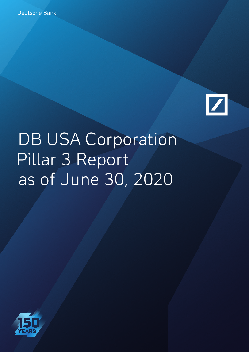

# DB USA Corporation Pillar 3 Report as of June 30, 2020

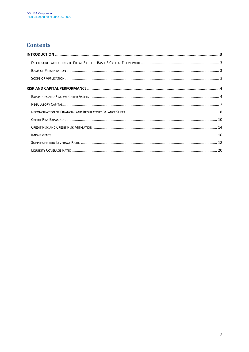### **Contents**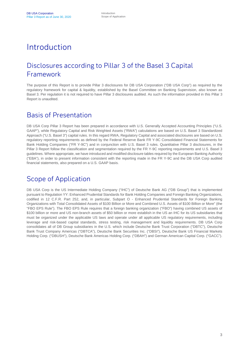# Introduction

# Disclosures according to Pillar 3 of the Basel 3 Capital Framework

The purpose of this Report is to provide Pillar 3 disclosures for DB USA Corporation ("DB USA Corp") as required by the regulatory framework for capital & liquidity, established by the Basel Committee on Banking Supervision, also known as Basel 3. Per regulation it is not required to have Pillar 3 disclosures audited. As such the information provided in this Pillar 3 Report is unaudited.

### Basis of Presentation

DB USA Corp Pillar 3 Report has been prepared in accordance with U.S. Generally Accepted Accounting Principles ("U.S. GAAP"), while Regulatory Capital and Risk Weighted Assets ("RWA") calculations are based on U.S. Basel 3 Standardized Approach ("U.S. Basel 3") capital rules. In this regard RWA, Regulatory Capital and associated disclosures are based on U.S. regulatory reporting requirements as defined by the Federal Reserve Bank FR Y-9C Consolidated Financial Statements for Bank Holding Companies ("FR Y-9C") and in conjunction with U.S. Basel 3 rules. Quantitative Pillar 3 disclosures, in the Pillar 3 Report follow the classification and segmentation required by the FR Y-9C reporting requirements and U.S. Basel 3 guidelines. Where appropriate, we have introduced and modified disclosure tables required by the European Banking Authority ("EBA"), in order to present information consistent with the reporting made in the FR Y-9C and the DB USA Corp audited financial statements, also prepared on a U.S. GAAP basis.

# Scope of Application

DB USA Corp is the US Intermediate Holding Company ("IHC") of Deutsche Bank AG ("DB Group") that is implemented pursuant to Regulation YY: Enhanced Prudential Standards for Bank Holding Companies and Foreign Banking Organizations, codified in 12 C.F.R. Part 252, and, in particular, Subpart O - Enhanced Prudential Standards for Foreign Banking Organizations with Total Consolidated Assets of \$100 Billion or More and Combined U.S. Assets of \$100 Billion or More" (the "FBO EPS Rule"). The FBO EPS Rule requires that a foreign banking organization ("FBO") having combined US assets of \$100 billion or more and US non-branch assets of \$50 billion or more establish in the US an IHC for its US subsidiaries that must be organized under the applicable US laws and operate under all applicable US regulatory requirements, including leverage and risk-based capital standards, stress testing, risk management and liquidity requirements. DB USA Corp consolidates all of DB Group subsidiaries in the U.S. which include Deutsche Bank Trust Corporation ("DBTC"), Deutsche Bank Trust Company Americas ("DBTCA"), Deutsche Bank Securities Inc. ("DBSI"), Deutsche Bank US Financial Markets Holding Corp. ("DBUSH"), Deutsche Bank Americas Holding Corp. ("DBAH") and German American Capital Corp. ("GACC").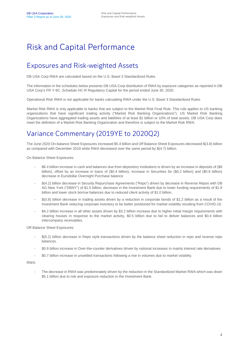# Risk and Capital Performance

# Exposures and Risk-weighted Assets

DB USA Corp RWA are calculated based on the U.S. Basel 3 Standardized Rules.

The information in the schedules below presents DB USA Corp distribution of RWA by exposure categories as reported in DB USA Corp's FR Y-9C, Schedule HC-R Regulatory Capital for the period ended June 30, 2020.

Operational Risk RWA is not applicable for banks calculating RWA under the U.S. Basel 3 Standardized Rules.

Market Risk RWA is only applicable to banks that are subject to the Market Risk Final Rule. This rule applies to US banking organizations that have significant trading activity ("Market Risk Banking Organizations"). US Market Risk Banking Organizations have aggregated trading assets and liabilities of at least \$1 billion or 10% of total assets. DB USA Corp does meet the definition of a Market Risk Banking Organization and therefore is subject to the Market Risk RWA.

# Variance Commentary (2019YE to 2020Q2)

The June 2020 On-balance Sheet Exposures increased \$5.4 billion and Off Balance Sheet Exposures decreased \$(3.8) billion as compared with December 2019 while RWA decreased over the same period by \$(4.7) billion.

On Balance Sheet Exposures:

- \$6.4 billion increase in cash and balances due from depository institutions is driven by an increase in deposits of (\$8 billion), offset by an increase in loans of (\$0.4 billion), increase in Securities for (\$0.2 billion) and (\$0.8 billion) decrease in Eurodollar Overnight Purchase balance
- \$(4.2) billion decrease in Security Repurchase Agreements ("Repo") driven by decrease in Reverse Repos with DB AG New York ("DBNY") of \$1.5 billion, decrease in the Investment Bank due to lower funding requirements of \$1.9 billion and lower stock borrow balances due to reduced client activity of \$1.0 billion.
- \$(0.8) billion decrease in trading assets driven by a reduction in corporate bonds of \$1.2 billion as a result of the Investment Bank reducing corporate inventory to be better positioned for market volatility resulting from COVID-19.
- \$4.2 billion increase in all other assets driven by \$3.2 billion increase due to higher initial margin requirements with clearing houses in response to the market activity, \$0.5 billion due to fail to deliver balances and \$0.4 billion intercompany receivables.

Off Balance Sheet Exposures:

- \$(5.2) billion decrease in Repo style transactions driven by the balance sheet reduction in repo and reverse repo balances.
- \$0.8 billion increase in Over-the-counter derivatives driven by notional increases in mainly interest rate derivatives
- \$0.7 billion increase in unsettled transactions following a rise in volumes due to market volatility.

RWA:

The decrease in RWA was predominately driven by the reduction in the Standardized Market RWA which was down \$5.1 billion due to risk and exposure reduction in the Investment Bank.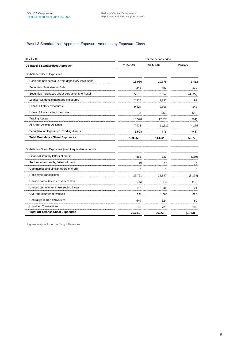### Basel 3 Standardized Approach Exposure Amounts by Exposure Class

| in USD m.                                              |           | For the period ended |          |
|--------------------------------------------------------|-----------|----------------------|----------|
| <b>US Basel 3 Standardized Approach</b>                | 31-Dec-19 | 30-Jun-20            | Variance |
| On-balance Sheet Exposures                             |           |                      |          |
| Cash and balances due from depository institutions     | 13,966    | 20,378               | 6,412    |
| Securities: Available for Sale                         | 243       | 482                  | 239      |
| Securities Purchased under agreements to Resell        | 55,570    | 51,343               | (4, 227) |
| Loans: Residential mortgage exposures                  | 2,735     | 2,827                | 92       |
| Loans: All other exposures                             | 9,324     | 9,566                | 242      |
| Loans: Allowance for Loan Loss                         | (9)       | (32)                 | (23)     |
| <b>Trading Assets</b>                                  | 18,570    | 17.776               | (794)    |
| All Other Assets: All Other                            | 7,433     | 11,612               | 4,179    |
| Securitization Exposures: Trading Assets               | 1,524     | 776                  | (748)    |
| <b>Total On-balance Sheet Exposures</b>                | 109,356   | 114.728              | 5,372    |
| Off-balance Sheet Exposures (credit equivalent amount) |           |                      |          |
| Financial standby letters of credit                    | 883       | 733                  | (150)    |
| Performance standby letters of credit                  | 19        | 17                   | (2)      |
| Commercial and similar letters of credit               | $\Omega$  | $\Omega$             | $\Omega$ |
| Repo style transactions                                | 27,791    | 22,597               | (5, 194) |
| Unused commitments: 1 year of less                     | 143       | 101                  | (42)     |
| Unused commitments: exceeding 1 year                   | 981       | 1,005                | 24       |
| Over-the-counter derivatives                           | 241       | 1,066                | 825      |
| Centrally Cleared derivatives                          | 544       | 624                  | 80       |
| <b>Unsettled Transactions</b>                          | 39        | 725                  | 686      |
| <b>Total Off-balance Sheet Exposures</b>               | 30,641    | 26,868               | (3, 773) |

Figures may include rounding differences.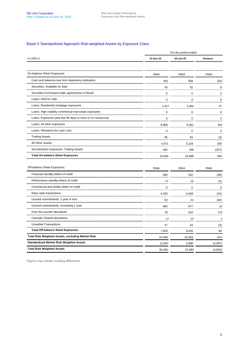### Basel 3 Standardized Approach Risk-weighted Assets by Exposure Class

|                                                            | For the period ended |             |              |  |  |
|------------------------------------------------------------|----------------------|-------------|--------------|--|--|
| in USD m.                                                  | 31-Dec-19            | 30-Jun-20   | Variance     |  |  |
| On-balance Sheet Exposures                                 | <b>RWA</b>           | <b>RWA</b>  | <b>RWA</b>   |  |  |
| Cash and balances due from depository institutions         | 661                  | 569         | (91)         |  |  |
| Securities: Available for Sale                             | 43                   | 52          | 9            |  |  |
| Securities Purchased under agreements to Resell            | $\mathbf 0$          | $\mathbf 0$ | $\mathbf 0$  |  |  |
| Loans: Held for Sale                                       | $\mathbf 0$          | 0           | $\Omega$     |  |  |
| Loans: Residential mortgage exposures                      | 1,417                | 1,464       | 47           |  |  |
| Loans: High volatility commercial real estate exposures    | 0                    | 0           | $\mathbf 0$  |  |  |
| Loans: Exposures past due 90 days or more or on nonaccrual | $\mathbf 0$          | $\mathbf 0$ | $\Omega$     |  |  |
| Loans: All other exposures                                 | 8,960                | 9,361       | 401          |  |  |
| Loans: Allowance for Loan Loss                             | $\mathbf 0$          | 0           | 0            |  |  |
| <b>Trading Assets</b>                                      | 95                   | 93          | (3)          |  |  |
| All Other Assets                                           | 4,971                | 5,229       | 258          |  |  |
| Securitization Exposures: Trading Assets                   | 456                  | 199         | (257)        |  |  |
| <b>Total On-balance Sheet Exposures</b>                    | 16,604               | 16,968      | 364          |  |  |
| Off-balance Sheet Exposures                                | <b>RWA</b>           | <b>RWA</b>  | <b>RWA</b>   |  |  |
| Financial standby letters of credit                        | 580                  | 542         | (38)         |  |  |
| Performance standby letters of credit                      | 17                   | 15          | (2)          |  |  |
| Commercial and similar letters of credit                   | $\Omega$             | $\Omega$    | $\Omega$     |  |  |
| Repo style transactions                                    | 6,292                | 6,268       | (23)         |  |  |
| Unused commitments: 1 year or less                         | 63                   | 21          | (42)         |  |  |
| Unused commitments: exceeding 1 year                       | 865                  | 877         | 12           |  |  |
| Over-the-counter derivatives                               | 79                   | 254         | 175          |  |  |
| <b>Centrally Cleared derivatives</b>                       | 11                   | 13          | $\mathbf{1}$ |  |  |
| <b>Unsettled Transactions</b>                              | 47                   | 44          | (3)          |  |  |
| <b>Total Off-balance Sheet Exposures</b>                   | 7,955                | 8,035       | 80           |  |  |
| <b>Total Risk Weighted Assets, excluding Market Risk</b>   | 24,559               | 25,003      | 444          |  |  |
| <b>Standardized Market Risk Weighted Assets</b>            | 12,087               | 6.990       | (5,097)      |  |  |

**Total Risk Weighted Assets** (4,653)

Figures may include rounding differences.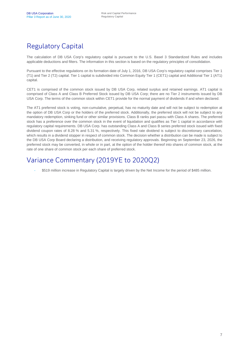# Regulatory Capital

The calculation of DB USA Corp's regulatory capital is pursuant to the U.S. Basel 3 Standardized Rules and includes applicable deductions and filters. The information in this section is based on the regulatory principles of consolidation.

Pursuant to the effective regulations on its formation date of July 1, 2016, DB USA Corp's regulatory capital comprises Tier 1 (T1) and Tier 2 (T2) capital. Tier 1 capital is subdivided into Common Equity Tier 1 (CET1) capital and Additional Tier 1 (AT1) capital.

CET1 is comprised of the common stock issued by DB USA Corp, related surplus and retained earnings. AT1 capital is comprised of Class A and Class B Preferred Stock issued by DB USA Corp; there are no Tier 2 instruments issued by DB USA Corp. The terms of the common stock within CET1 provide for the normal payment of dividends if and when declared.

The AT1 preferred stock is voting, non-cumulative, perpetual, has no maturity date and will not be subject to redemption at the option of DB USA Corp or the holders of the preferred stock. Additionally, the preferred stock will not be subject to any mandatory redemption, sinking fund or other similar provisions. Class B ranks pari passu with Class A shares. The preferred stock has a preference over the common stock in the event of liquidation and qualifies as Tier 1 capital in accordance with regulatory capital requirements. DB USA Corp. has outstanding Class A and Class B series preferred stock issued with fixed dividend coupon rates of 8.28 % and 5.31 %, respectively. This fixed rate dividend is subject to discretionary cancelation, which results in a dividend stopper in respect of common stock. The decision whether a distribution can be made is subject to the DB USA Corp Board declaring a distribution, and receiving regulatory approvals. Beginning on September 23, 2026, the preferred stock may be converted, in whole or in part, at the option of the holder thereof into shares of common stock, at the rate of one share of common stock per each share of preferred stock.

# Variance Commentary (2019YE to 2020Q2)

- \$519 million increase in Regulatory Capital is largely driven by the Net Income for the period of \$485 million.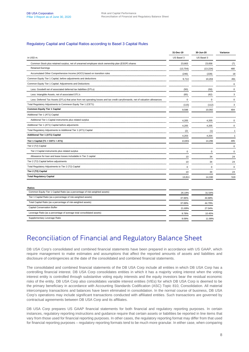### Regulatory Capital and Capital Ratios according to Basel 3 Capital Rules

|                                                                                                                                 | 31-Dec-19   | 30-Jun-20   | Variance       |
|---------------------------------------------------------------------------------------------------------------------------------|-------------|-------------|----------------|
| in USD m.                                                                                                                       | US Basel 3  | US Basel 3  |                |
| Common Stock plus retained surplus, net of unearned employee stock ownership plan (ESOP) shares                                 | 23,663      | 23,656      | (7)            |
| <b>Retained Earnings</b>                                                                                                        | (13, 704)   | (13, 224)   | 480            |
| Accumulated Other Comprehensive Income (AOCI) based on transition rules                                                         | (246)       | (228)       | 18             |
| Common Equity Tier 1 Capital, before adjustments and deductions                                                                 | 9,713       | 10,204      | 491            |
| Common Equity Tier 1 Capital: Adjustments and Deductions                                                                        |             |             | $\mathbf 0$    |
| Less: Goodwill net of associated deferred tax liabilities (DTLs)                                                                | (50)        | (50)        | $\mathbf 0$    |
| Less: Intangible Assets, net of associated DTL's                                                                                | (65)        | (62)        | 3              |
| Less: Deferred Tax Assets (DTLs) that arise from net operating losses and tax credit carryforwards, net of valuation allowances | $\mathbf 0$ | $\mathbf 0$ | $\mathbf 0$    |
| Total Regulatory Adjustments to Commeon Equity Tier 1 (CET1)                                                                    | (115)       | (112)       | 3              |
| <b>Common Equity Tier 1 Capital</b>                                                                                             | 9,598       | 10,092      | 494            |
| Additional Tier 1 (AT1) Capital                                                                                                 |             |             |                |
| Additional Tier 1 Capital instruments plus related surplus                                                                      | 4,205       | 4,205       | $\mathbf 0$    |
| Additional Tier 1 (AT1) Capital before adjusments                                                                               | 4,205       | 4,205       | $\mathbf 0$    |
| Total Regulatory Adjustments to Additional Tier 1 (AT1) Capital                                                                 | (2)         | (1)         | $\overline{1}$ |
| Additional Tier 1 (AT1) Capital                                                                                                 | 4,203       | 4,204       | $\overline{1}$ |
| Tier 1 Capital (T1 = CET1 + AT1)                                                                                                | 13,801      | 14,296      | 495            |
| Tier 2 (T2) Capital                                                                                                             |             |             | $\mathbf 0$    |
| Tier 2 Capital instruments plus related surplus                                                                                 | $\mathbf 0$ | $\mathbf 0$ | $\mathbf 0$    |
| Allowance for loan and lease losses includable in Tier 2 capital                                                                | 10          | 34          | 24             |
| Tier 2 (T2) Capital before adjustments                                                                                          | 10          | 34          | 24             |
| Total Regulatory Adjustments to Tier 2 (T2) Capital                                                                             | $\mathbf 0$ | $\mathbf 0$ | $\mathbf 0$    |
| Tier 2 (T2) Capital                                                                                                             | 10          | 34          | 24             |
| <b>Total Regulatory Capital</b>                                                                                                 | 13,811      | 14,330      | 519            |
|                                                                                                                                 |             |             |                |
| Ratios                                                                                                                          |             |             |                |
| Common Equity Tier 1 Capital Ratio (as a percentage of risk-weighted assets)                                                    | 26.19%      | 31.54%      |                |

| COMMITTED IT CAPITAL NATIO (as a percentage of its Neighted assets)   | 26.19% | 31.54% |
|-----------------------------------------------------------------------|--------|--------|
| Tier 1 Capital Ratio (as a percentage of risk-weighted assets)        | 37.66% | 44.68% |
| Total Capital Ratio (as a percentage of risk-weighted assets)         | 37.69% | 44.79% |
| Capital Conservation Buffer                                           | 21.69% | 27.04% |
| Leverage Ratio (as a percentage of average total consolidated assets) | 9.78%  | 10.45% |
| Supplementary Leverage Ratio                                          | 9.09%  | 11.99% |

# Reconciliation of Financial and Regulatory Balance Sheet

DB USA Corp's consolidated and combined financial statements have been prepared in accordance with US GAAP, which require management to make estimates and assumptions that affect the reported amounts of assets and liabilities and disclosure of contingencies at the date of the consolidated and combined financial statements.

The consolidated and combined financial statements of the DB USA Corp include all entities in which DB USA Corp has a controlling financial interest. DB USA Corp consolidates entities in which it has a majority voting interest when the voting interest entity is controlled through substantive voting equity interests and the equity investors bear the residual economic risks of the entity. DB USA Corp also consolidates variable interest entities (VIEs) for which DB USA Corp is deemed to be the primary beneficiary in accordance with Accounting Standards Codification (ASC) Topic 810, Consolidation. All material intercompany transactions and balances have been eliminated in consolidation. In the normal course of business, DB USA Corp's operations may include significant transactions conducted with affiliated entities. Such transactions are governed by contractual agreements between DB USA Corp and its affiliates.

DB USA Corp prepares US GAAP financial statements for both financial and regulatory reporting purposes. In certain instances, regulatory reporting instructions and guidance require that certain assets or liabilities be reported in line items that vary from those used for financial reporting purposes. In other cases, the regulatory reporting format may differ from that used for financial reporting purposes – regulatory reporting formats tend to be much more granular. In either case, when comparing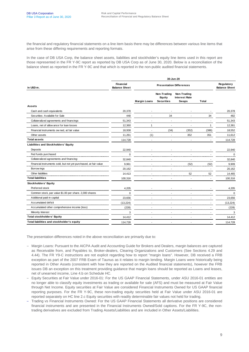the financial and regulatory financial statements on a line item basis there may be differences between various line items that arise from these differing requirements and reporting formats.

In the case of DB USA Corp, the balance sheet assets, liabilities and stockholder's equity line items used in this report are those represented in the FR Y-9C report as reported by DB USA Corp as of June 30, 2020. Below is a reconciliation of the balance sheet as reported in the FR Y-9C and that which is reported in the non-public audited financial statements.

|                                                                  | 30-Jun-20                                |                                 |                                                   |                                                     |              |                                    |  |  |
|------------------------------------------------------------------|------------------------------------------|---------------------------------|---------------------------------------------------|-----------------------------------------------------|--------------|------------------------------------|--|--|
| in USD <sub>m</sub> .                                            | <b>Financial</b><br><b>Balance Sheet</b> | <b>Presentation Differences</b> |                                                   |                                                     |              | Regulatory<br><b>Balance Sheet</b> |  |  |
|                                                                  |                                          | <b>Margin Loans</b>             | Non-Trading<br><b>Equity</b><br><b>Securities</b> | Non-Trading<br><b>Interest Rate</b><br><b>Swaps</b> | <b>Total</b> |                                    |  |  |
| Assets                                                           |                                          |                                 |                                                   |                                                     |              |                                    |  |  |
| Cash and cash equivalents                                        | 20,378                                   |                                 |                                                   |                                                     |              | 20,378                             |  |  |
| Securities: Available for Sale                                   | 448                                      |                                 | 34                                                |                                                     | 34           | 482                                |  |  |
| Collateralized agreements and financings                         | 51,343                                   |                                 |                                                   |                                                     |              | 51,343                             |  |  |
| Loans, net of allow ance for loan losses                         | 12,360                                   | $\mathbf{1}$                    |                                                   |                                                     | $\mathbf{1}$ | 12,361                             |  |  |
| Financial instruments ow ned, at fair value                      | 18,938                                   |                                 | (34)                                              | (352)                                               | (386)        | 18,552                             |  |  |
| Other assets                                                     | 11.261                                   | (1)                             | $\sim$                                            | 352                                                 | 351          | 11.612                             |  |  |
| <b>Total assets</b>                                              | 114,728                                  |                                 |                                                   |                                                     |              | 114,728                            |  |  |
| Liabilities and Stockholders' Equity                             |                                          |                                 |                                                   |                                                     |              |                                    |  |  |
| Deposits                                                         | 22,940                                   |                                 |                                                   |                                                     |              | 22,940                             |  |  |
| Fed funds purchased                                              | $\Omega$                                 |                                 |                                                   | $\blacksquare$                                      |              | $\Omega$                           |  |  |
| Collateralized agreements and financing:                         | 32,840                                   |                                 |                                                   |                                                     |              | 32,840                             |  |  |
| Financial instruments sold, but not yet purchased, at fair value | 9,961                                    |                                 |                                                   | (52)                                                | (52)         | 9,909                              |  |  |
| Borrow ings                                                      | 20,162                                   |                                 |                                                   | $\overline{a}$                                      |              | 20.162                             |  |  |
| Other liabilities                                                | 14,413                                   |                                 |                                                   | 52                                                  | 52           | 14,465                             |  |  |
| <b>Total liabilities</b>                                         | 100,316                                  |                                 |                                                   |                                                     |              | 100,316                            |  |  |
| <b>Stockholders' Equity</b>                                      |                                          |                                 |                                                   |                                                     |              |                                    |  |  |
| Preferred stock                                                  | 4,205                                    |                                 |                                                   |                                                     |              | 4,205                              |  |  |
| Common stock, par value \$1.00 per share. 2,000 shares           | $\mathbf 0$                              |                                 |                                                   |                                                     |              | $\mathbf 0$                        |  |  |
| Additional paid-in capital                                       | 23,656                                   |                                 |                                                   |                                                     |              | 23,656                             |  |  |
| Accumulated deficit                                              | (13, 224)                                |                                 |                                                   |                                                     |              | (13, 224)                          |  |  |
| Accumulated other comprehensive income (loss)                    | (228)                                    |                                 |                                                   |                                                     |              | (228)                              |  |  |
| Minority Interest                                                | 3                                        |                                 | $\overline{a}$                                    |                                                     |              | 3                                  |  |  |
| <b>Total stockholders' Equity</b>                                | 14,412                                   |                                 |                                                   |                                                     |              | 14,412                             |  |  |
| Total liabilities and stockholder's equity                       | 114,728                                  |                                 |                                                   |                                                     |              | 114,728                            |  |  |

The presentation differences noted in the above reconciliation are primarily due to:

- Margin Loans: Pursuant to the AICPA Audit and Accounting Guide for Brokers and Dealers, margin balances are captured as Receivable from, and Payables to, Broker-dealers, Clearing Organizations and Customers (See Sections 4.29 and 4.44). The FR Y9-C instructions are not explicit regarding how to report "margin loans". However, DB received a FRB exception as part of the 2007 FRB Exam of Taunus as it relates to margin lending. Margin Loans were historically being reported in Other Assets (consistent with how they are reported on the Audited financial statements), however the FRB issues DB an exception on this treatment providing guidance that margin loans should be reported as Loans and leases, net of unearned income, Line 4.b on Schedule HC.
- Equity Securities at Fair Value under 2016-01: For the US GAAP Financial Statements, under ASU 2016-01 entities are no longer able to classify equity investments as trading or available for sale (AFS) and must be measured at Fair Value through Net Income. Equity securities at Fair Value are considered Financial Instruments Owned for US GAAP financial reporting purposes. For the FR Y-9C, these non-trading equity securities held at Fair Value under ASU 2016-01 are reported separately on HC line 2.c Equity securities with readily determinable fair values not held for trading.
- Trading vs Financial Instruments Owned: For the US GAAP Financial Statements all derivative positions are considered financial instruments and are presented in the Financial Instruments Owned/Sold captions. For the FR Y-9C, the nontrading derivatives are excluded from Trading Assets/Liabilities and are included in Other Assets/Liabilities.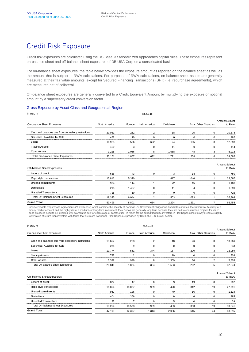# Credit Risk Exposure

Credit risk exposures are calculated using the US Basel 3 Standardized Approaches capital rules. These exposures represent on-balance sheet and off-balance sheet exposures of DB USA Corp on a consolidated basis.

For on-balance sheet exposures, the table below provides the exposure amount as reported on the balance sheet as well as the amount that is subject to RWA calculations. For purposes of RWA calculations, on-balance sheet assets are generally measured at their fair value amounts, except for Secured Financing Transactions (SFT) (i.e. repurchase agreements), which are measured net of collateral.

Off-balance sheet exposures are generally converted to a Credit Equivalent Amount by multiplying the exposure or notional amount by a supervisory credit conversion factor.

### Gross Exposure by Asset Class and Geographical Region

| in USD <sub>m</sub> .                              | 30-Jun-20     |        |               |           |          |                      |                                 |
|----------------------------------------------------|---------------|--------|---------------|-----------|----------|----------------------|---------------------------------|
| On-balance Sheet Exposures                         | North America | Europe | Latin America | Caribbean |          | Asia Other Countries | <b>Amount Subject</b><br>to RWA |
| Cash and balances due from depository institutions | 20,081        | 252    | $\sim$        | 18        | 25       | O                    | 20,378                          |
| Securities: Available for Sale                     | 472           | 10     | $\Omega$      | $\Omega$  | $\Omega$ | 0                    | 482                             |
| Loans                                              | 10,983        | 526    | 622           | 124       | 135      | 3                    | 12,393                          |
| <b>Trading Assets</b>                              | 400           | 3      | n             | 11        | 0        | O                    | 414                             |
| Other Assets                                       | 3.225         | 1.066  | 8             | 1.568     | 48       | 3                    | 5,918                           |
| Total On-balance Sheet Exposures                   | 35,161        | 1.857  | 632           | 1,721     | 208      | 6                    | 39,585                          |
| Off-balance Sheet Exposures                        |               |        |               |           |          |                      | Amount Subject<br>to RWA        |
| Letters of credit                                  | 686           | 43     | $\Omega$      | 3         | 18       | $\Omega$             | 750                             |
| Repo style transactions                            | 15,812        | 5,320  |               | 417       | 1,046    |                      | 22,597                          |

| Unused commitments                | 904    | 14    |     |       |     | .106   |
|-----------------------------------|--------|-------|-----|-------|-----|--------|
| Derivatives                       | 218    | . 457 |     |       |     | .690   |
| Unsettled Transactions            | 715    |       |     |       |     | '25    |
| Total Off-balance Sheet Exposures | 18.335 | 6.944 |     | 503   | :08 | 26.868 |
| <b>Grand Total</b>                | 53.496 | 8.801 | 634 | 2.224 | 291 | 66.453 |

<sup>1</sup> Include Flexible Repurchase Agreements ("Flex Repos") which combine the security of owning U.S. Government Obligations, fixed interest rates, the withdrawal flexibility of a<br>money market account and the high yield of a bond proceeds need to be invested until payment is due for each stage of construction. In return for the added flexibility, investors in Flex Repos almost always receive slightly<br>Iower rates of return than investors with t

| in USD <sub>m.</sub>                               |               |        | 31-Dec-19      |           |              |                      |                                 |
|----------------------------------------------------|---------------|--------|----------------|-----------|--------------|----------------------|---------------------------------|
| On-balance Sheet Exposures                         | North America | Europe | Latin America  | Caribbean |              | Asia Other Countries | <b>Amount Subject</b><br>to RWA |
| Cash and balances due from depository institutions | 13.657        | 263    | $\overline{2}$ | 18        | 26           | 0                    | 13.966                          |
| Securities: Available for Sale                     | 234           | 9      | $\Omega$       | 0         | 0            | 0                    | 243                             |
| Loans                                              | 10.774        | 551    | 344            | 187       | 200          | 3                    | 12,059                          |
| <b>Trading Assets</b>                              | 782           | 2      | $\Omega$       | 19        | 0            | 0                    | 803                             |
| <b>Other Assets</b>                                | 3.399         | 999    | 8              | 1.359     | 36           | 2                    | 5,803                           |
| Total On-balance Sheet Exposures                   | 28,846        | 1,824  | 354            | 1,583     | 262          | 5                    | 32,874                          |
| Off-balance Sheet Exposures                        |               |        |                |           |              |                      | Amount Subject<br>to RWA        |
| Letters of credit                                  | 827           | 47     | $\Omega$       | 9         | 19           | $\Omega$             | 902                             |
| Repo style transactions                            | 16,054        | 10.027 | 959            | 420       | 312          | 19                   | 27,791                          |
| Unused commitments                                 | 942           | 126    | $\Omega$       | 40        | 16           | $\Omega$             | 1.124                           |
| Derivatives                                        | 404           | 366    | n              | 9         | 6            | n                    | 785                             |
| <b>Unsettled Transactions</b>                      | 27            | 7      | c              |           | <sup>n</sup> | n                    | 39                              |
| Total Off-balance Sheet Exposures                  | 18,254        | 10,573 | 959            | 483       | 353          | 19                   | 30,641                          |
| <b>Grand Total</b>                                 | 47,100        | 12,397 | 1,313          | 2,066     | 615          | 24                   | 63,515                          |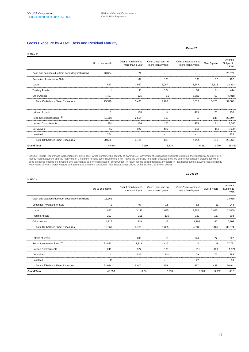### Gross Exposure by Asset Class and Residual Maturity

| OTOSS EXPOSUTE DY ASSEL CRISS AND NESIQUAL MALUITY |                 |                                         |                                          | 30-Jun-20                                 |              |                                    |
|----------------------------------------------------|-----------------|-----------------------------------------|------------------------------------------|-------------------------------------------|--------------|------------------------------------|
| in USD m                                           |                 |                                         |                                          |                                           |              |                                    |
|                                                    | Up to one month | Over 1 month to not<br>more than 1 year | Over 1 year and not<br>more than 2 years | Over 2 years and not<br>more than 5 years | Over 5 years | Amount<br>Subject to<br><b>RWA</b> |
| Cash and balances due from depository institutions | 20,354          | 24                                      |                                          |                                           |              | 20,378                             |
| Securities: Available for Sale                     |                 | 89                                      | 188                                      | 193                                       | 12           | 482                                |
| Loans                                              | 567             | 3.057                                   | 2.097                                    | 3.544                                     | 3.128        | 12,393                             |
| <b>Trading Assets</b>                              |                 | 90                                      | 164                                      | 88                                        | 71           | 414                                |
| <b>Other Assets</b>                                | 4.427           | 175                                     | 11                                       | 1.253                                     | 52           | 5,918                              |
| Total On-balance Sheet Exposures                   | 25,349          | 3,435                                   | 2.460                                    | 5,078                                     | 3,263        | 39,585                             |
|                                                    |                 |                                         |                                          |                                           |              |                                    |
| Letters of credit                                  | 3               | 168                                     | 14                                       | 489                                       | 76           | 750                                |
| Repo-Style transactions <sup>(1)</sup>             | 19,622          | 2,554                                   | 163                                      | 10                                        | 248          | 22,597                             |
| <b>Unused Commitments</b>                          | 201             | 184                                     | 155                                      | 485                                       | 81           | 1,106                              |
| Derivatives                                        | 15              | 827                                     | 486                                      | 251                                       | 111          | 1,690                              |

Unsettled 724 1 - - - 725 Total Off-balance Sheet Exposures 20,565 20,565 3,734 818 1,235 516 26,868 **Grand Total** 45,914 7,169 3,278 6,313 3,779 66,453

<sup>1</sup> Include Flexible Repurchase Agreements ("Flex Repos") which combine the security of owning U.S. Government Obligations, fixed interest rates, the withdrawal flexibility of a<br>money market account and the high yield of a

| in USD <sub>m</sub>                                |                 |                                         |                                          |                                           |              |                                    |
|----------------------------------------------------|-----------------|-----------------------------------------|------------------------------------------|-------------------------------------------|--------------|------------------------------------|
|                                                    | Up to one month | Over 1 month to not<br>more than 1 year | Over 1 year and not<br>more than 2 years | Over 2 years and not<br>more than 5 years | Over 5 years | Amount<br>Subject to<br><b>RWA</b> |
| Cash and balances due from depository institutions | 13.966          |                                         |                                          |                                           |              | 13.966                             |
| Securities: Available for Sale                     |                 | 97                                      | 72                                       | 62                                        | 11           | 243                                |
| Loans                                              | 985             | 3,112                                   | 1,685                                    | 3,302                                     | 2,975        | 12,059                             |
| <b>Trading Assets</b>                              | 200             | 211                                     | 115                                      | 160                                       | 117          | 803                                |
| <b>Other Assets</b>                                | 4.217           | 319                                     | 13                                       | 1.188                                     | 66           | 5,803                              |
| <b>Total On-balance Sheet Exposures</b>            | 19.369          | 3.739                                   | 1.885                                    | 4,712                                     | 3.169        | 32,874                             |
| Letters of credit                                  |                 | 282                                     | 19                                       | 524                                       | 77           | 902                                |
| Repo-Style transactions (1)                        | 23,423          | 3,818                                   | 415                                      | 16                                        | 119          | 27,791                             |
| <b>Unused Commitments</b>                          | 246             | 377                                     | 130                                      | 211                                       | 160          | 1,124                              |
| Derivatives                                        | 4               | 525                                     | 101                                      | 79                                        | 76           | 785                                |
| Unsettled                                          | 11              |                                         |                                          | 27                                        |              | 39                                 |
| Total Off-balance Sheet Exposures                  | 23,684          | 5,002                                   | 665                                      | 857                                       | 433          | 30,641                             |
| <b>Grand Total</b>                                 | 43,053          | 8,741                                   | 2,550                                    | 5,569                                     | 3,602        | 63,51                              |

#### **31-Dec-19**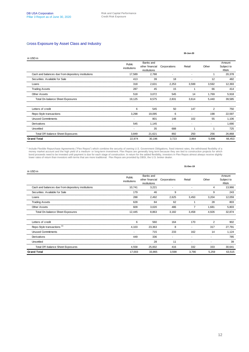### Gross Exposure by Asset Class and Industry

|                                                    |                        |                                              |              | 30-Jun-20      |                |                                    |
|----------------------------------------------------|------------------------|----------------------------------------------|--------------|----------------|----------------|------------------------------------|
| in USD <sub>m</sub>                                |                        |                                              |              |                |                |                                    |
|                                                    | Public<br>institutions | Banks and<br>other financial<br>institutions | Corporations | Retail         | Other          | Amount<br>Subject to<br><b>RWA</b> |
| Cash and balances due from depository institutions | 17,589                 | 2,788                                        |              |                |                | 20,378                             |
| Securities: Available for Sale                     | 413                    | 39                                           | 18           |                | 12             | 482                                |
| Loans                                              | 318                    | 2,631                                        | 2,253        | 3,599          | 3,592          | 12,393                             |
| <b>Trading Assets</b>                              | 287                    | 45                                           | 15           | 1              | 66             | 414                                |
| <b>Other Assets</b>                                | 518                    | 3,072                                        | 545          | 14             | 1,769          | 5,918                              |
| Total On-balance Sheet Exposures                   | 19,125                 | 8,575                                        | 2,831        | 3,614          | 5,440          | 39,585                             |
| Letters of credit                                  | 6                      | 545                                          | 50           | 147            | 2              | 750                                |
| Repo-Style transactions                            | 3,298                  | 19,095                                       | 6            |                | 198            | 22,597                             |
| <b>Unused Commitments</b>                          |                        | 801                                          | 148          | 102            | 55             | 1,106                              |
| Derivatives                                        | 545                    | 1,145                                        |              | $\blacksquare$ | $\blacksquare$ | 1,690                              |
| Unsettled                                          |                        | 35                                           | 688          |                |                | 725                                |
| Total Off-balance Sheet Exposures                  | 3,849                  | 21,621                                       | 892          | 250            | 256            | 26,868                             |
| <b>Grand Total</b>                                 | 22,974                 | 30,196                                       | 3,723        | 3,864          | 5,696          | 66,453                             |

<sup>1</sup> Include Flexible Repurchase Agreements ("Flex Repos") which combine the security of owning U.S. Government Obligations, fixed interest rates, the withdrawal flexibility of a money market account and the high yield of a

|                                                    |                        |                                              |              | 31-Dec-19 |       |                                    |
|----------------------------------------------------|------------------------|----------------------------------------------|--------------|-----------|-------|------------------------------------|
| in USD <sub>m</sub>                                |                        |                                              |              |           |       |                                    |
|                                                    | Public<br>institutions | Banks and<br>other financial<br>institutions | Corporations | Retail    | Other | Amount<br>Subject to<br><b>RWA</b> |
| Cash and balances due from depository institutions | 10,741                 | 3,221                                        |              |           | 4     | 13,966                             |
| Securities: Available for Sale                     | 179                    | 46                                           | 9            |           | 9     | 243                                |
| Loans                                              | 288                    | 2,492                                        | 2,625        | 3,450     | 3,204 | 12,059                             |
| <b>Trading Assets</b>                              | 628                    | 84                                           | 62           |           | 28    | 803                                |
| <b>Other Assets</b>                                | 609                    | 3,020                                        | 486          | 7         | 1,681 | 5,803                              |
| Total On-balance Sheet Exposures                   | 12,445                 | 8,863                                        | 3,182        | 3,458     | 4,926 | 32,874                             |
| Letters of credit                                  | 6                      | 560                                          | 164          | 170       | 2     | 902                                |
| Repo-Style transactions <sup>(1)</sup>             | 4,103                  | 23,363                                       | 8            | ٠         | 317   | 27,791                             |
| <b>Unused Commitments</b>                          |                        | 715                                          | 233          | 162       | 14    | 1,124                              |
| Derivatives                                        | 449                    | 336                                          | ٠            |           | ۰     | 785                                |
| Unsettled                                          |                        | 28                                           | 11           |           | ۰     | 39                                 |
| Total Off-balance Sheet Exposures                  | 4,558                  | 25,002                                       | 416          | 332       | 333   | 30,641                             |
| <b>Grand Total</b>                                 | 17,003                 | 33,865                                       | 3,598        | 3,790     | 5,259 | 63,515                             |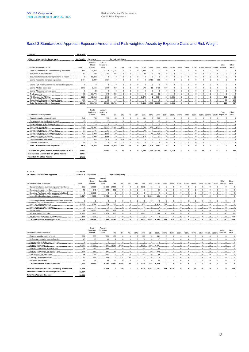### Basel 3 Standardized Approach Exposure Amounts and Risk-weighted Assets by Exposure Class and Risk Weight

| in USD <sub>m</sub>                                                                  | 30-Jun-20         |                      |                          |                       |                            |                            |                         |                          |                      |                        |                          |                            |                            |                            |                            |                             |                            |                   |                                    |                                  |
|--------------------------------------------------------------------------------------|-------------------|----------------------|--------------------------|-----------------------|----------------------------|----------------------------|-------------------------|--------------------------|----------------------|------------------------|--------------------------|----------------------------|----------------------------|----------------------------|----------------------------|-----------------------------|----------------------------|-------------------|------------------------------------|----------------------------------|
| US Basel 3 Standardized Approach                                                     | US Basel 3        | Exposure             |                          | by risk weighting     |                            |                            |                         |                          |                      |                        |                          |                            |                            |                            |                            |                             |                            |                   |                                    |                                  |
|                                                                                      |                   | Balance              | Amount                   |                       |                            |                            |                         |                          |                      |                        |                          |                            |                            |                            |                            |                             |                            |                   |                                    |                                  |
|                                                                                      |                   | Sheet                | Subject to               |                       |                            |                            |                         |                          |                      |                        |                          |                            |                            |                            |                            |                             |                            |                   | Other                              | Other                            |
| On-balance Sheet Exposures                                                           | <b>RWA</b><br>569 | Amount<br>20.378     | <b>RWA</b><br>20,378     | 0%<br>17.545          | 2%<br>$\Omega$             | 4%<br>$\Omega$             | 10%<br>$\Omega$         | 20%<br>2.828             | 50%<br>3             | 100%<br>$\mathfrak{p}$ | 150%<br>$\Omega$         | 250%<br>$\Omega$           | 300%<br>$\Omega$           | 400%<br>$\mathbf 0$        | 600%<br>$\Omega$           | 625%<br>$\Omega$            | 937.5%<br>$\Omega$         | 1250%<br>$\Omega$ | Amount<br>$\mathbf 0$              | <b>RWA</b><br>$\pmb{0}$          |
| Cash and balances due from depository institutions<br>Securities: Available for Sale | 52                | 482                  | 482                      | 404                   | 0                          | 0                          |                         | 32                       | $\mathbf 0$          | 46                     | $\bf{0}$                 | 0                          | 0                          |                            | 0                          | 0                           | 0                          | 0                 | 0                                  | $\pmb{0}$                        |
| Securities Purchased under agreements to Resell                                      | $\pmb{0}$         | 51,343               | $\mathbf 0$              | $\mathbf 0$           | $\mathbf 0$                | $\mathbf 0$                | $\mathbf 0$             | $\mathbf 0$              | $\mathbf 0$          | $\mathbf 0$            | $\mathbf 0$              | $\mathbf 0$                | $\mathbf 0$                | $\mathbf 0$                | $\mathbf 0$                | $\mathbf 0$                 | $\mathbf 0$                | 0                 | $\mathbf 0$                        | $\mathbf 0$                      |
| Loans: Residential mortgage exposures                                                | 1,464             | 2.827                | 2.827                    | 7                     | $\mathbf 0$                | $\mathbf 0$                | $^{\circ}$              | $\mathbf 0$              | 2.712                | 108                    | $\mathbf 0$              | 0                          | $\mathbf 0$                | $\mathbf 0$                | $\mathbf 0$                | $^{\circ}$                  | $\mathbf 0$                | 0                 | $\mathbf 0$                        | $\mathbf 0$                      |
|                                                                                      |                   |                      |                          |                       |                            |                            |                         |                          |                      |                        |                          |                            |                            |                            |                            |                             |                            |                   |                                    |                                  |
| Loans: High volatility commercial real estate exposures                              | $\pmb{0}$         | $\pmb{0}$            | $\pmb{0}$                | $\overline{0}$        | $\mathbf 0$                | $\mathbf 0$                | $\mathbf 0$             | $\mathbf 0$              | $\mathbf 0$          | $\pmb{0}$              | $\pmb{0}$                | $\overline{0}$             | 0                          | $\mathbf 0$                | $\mathbf 0$                | $\mathbf 0$                 | $\mathbf 0$                | 0                 | $\pmb{0}$                          | $\mathbf 0$                      |
| Loans: All other exposures                                                           | 9.361             | 9.566                | 9.566                    | 359<br>$\Omega$       | $\mathbf 0$                | $\mathsf 0$                | $\mathbf 0$             | 170                      | 11                   | 8.436                  | 590                      | $\mathsf{o}\xspace$        | $\mathbf 0$                | $\mathbf 0$                | $\mathbf 0$                | $\mathbf 0$                 | $\mathbf 0$                | $\mathsf{o}$      | $\mathbf 0$                        | $\mathbf 0$                      |
| Loans: Allow ance for Loan Loss<br><b>Trading Assets</b>                             | $\bf{0}$<br>93    | 32<br>17,776         | $\pmb{0}$<br>375         | 285                   | $\mathbf 0$<br>$\mathbf 0$ | $\mathbf 0$<br>$\mathsf 0$ | $\pmb{0}$<br>0          | $\mathbf 0$<br>$\pmb{0}$ | $\mathbf 0$<br>25    | $\mathbf 0$<br>62      | $\pmb{0}$<br>$\pmb{0}$   | $\mathbf 0$<br>0           | $\bf{0}$<br>$\mathbf 0$    | $\mathbf 0$<br>$\pmb{0}$   | $\bf{0}$<br>3              | $\mathbf 0$<br>0            | $\mathbf 0$<br>$\mathbf 0$ | 0<br>0            | $\pmb{0}$<br>$\bf{0}$              | $\mathbf{0}$<br>$\mathbf 0$      |
| All Other Assets: All Other                                                          | 5,229             | 11,612               | 5.918                    | 160                   | $\mathbf 0$                | $\mathbf 0$                | $\mathbf 0$             | 2.374                    | $\overline{1}$       | 2.184                  | 13                       | 1.005                      | $\mathbf 0$                | $\mathbf 0$                | $\mathbf 0$                | $\mathbf 0$                 | $\mathbf 0$                | $\mathbf 0$       | 181                                | $38\,$                           |
| Securitization Exposures: Trading Assets                                             | 199               | 776                  | 39                       | $\mathbf 0$           | $\Omega$                   | $\mathbf 0$                | $\Omega$                | $\mathbf 0$              | $\mathbf 0$          | $\Omega$               | $\bf{0}$                 | $\circ$                    | $\Omega$                   | $\mathbf 0$                | $\mathbf 0$                | $^{\circ}$                  | $\mathbf 0$                | 0                 | 39                                 | 199                              |
| <b>Total On-balance Sheet Exposures</b>                                              | 16,968            | 114,728              | 39,585                   | 18,760                | $\mathbf{0}$               | 0                          | 0                       | 5,404                    |                      | 2,752 10,838           | 603                      | 1,005                      | 0                          | $\mathbf 0$                | 3                          | $\mathbf 0$                 | 0                          | 0                 | 220                                | 237                              |
|                                                                                      |                   |                      |                          |                       |                            |                            |                         |                          |                      |                        |                          |                            |                            |                            |                            |                             |                            |                   |                                    |                                  |
|                                                                                      |                   | Credit               | Amount                   |                       |                            |                            |                         |                          |                      |                        |                          |                            |                            |                            |                            |                             |                            |                   |                                    |                                  |
|                                                                                      |                   | Equivalent           | Subject to               |                       |                            |                            |                         |                          |                      |                        |                          |                            |                            |                            |                            |                             |                            |                   | Other                              | Other                            |
| Off-balance Sheet Exposures                                                          |                   | Amount               | <b>RWA</b>               | 0%                    | 2%                         | 4%                         | 10%                     | 20%                      | 50%                  | 100%                   | 150%                     | 250%                       | 300%                       | 400%                       | 600%                       |                             | 625% 937.5%                |                   | 1250% Exposure                     | <b>RWA</b>                       |
| Financial standby letters of credit                                                  | 542               | 733                  | 733                      | 46                    | $\Omega$                   | $\Omega$                   | $\Omega$                | 181                      | $\mathbf 0$          | 506                    | $\mathbf 0$              | $\Omega$                   | $\Omega$                   | $\Omega$                   | $\mathbf 0$                | $\Omega$                    | $\Omega$                   | 0                 | $\mathbf 0$                        | $\overline{\mathbf{0}}$          |
| Performance standby letters of credit                                                | 15                | 17                   | 17                       | 2                     | 0                          | 0                          | 0                       | 0                        | $\mathbf 0$          | 15                     | $\bf{0}$                 | 0                          | 0                          | $\mathbf 0$                | 0                          | 0                           | 0                          | 0                 | $\bf{0}$                           | $\pmb{0}$                        |
| Commercial and similar letters of credit                                             | $\mathbf 0$       | $\pmb{0}$            | $\pmb{0}$                | $\mathbf 0$           | $\mathbf 0$                | $\mathbf 0$                | 0                       | $\mathbf 0$              | $\mathbf 0$          | $\mathbf 0$            | $\pmb{0}$                | $\mathbf{0}$               | $\mathbf 0$                | $\mathbf 0$                | $\hat{0}$                  | $\mathbf 0$                 | $\mathbf 0$                | 0                 | $\pmb{0}$                          | $\mathbf 0$                      |
| Repo style transactions                                                              | 6.268             | 22.597<br>101        | 22.597<br>101            | 10.031<br>$\mathbf 0$ | 1,155<br>$\Omega$          | 0<br>0                     | 0<br>$\Omega$           | 5.753<br>100             | 1,127<br>$\mathbf 0$ | 4.531<br>1             | $^{\circ}$<br>$\bf{0}$   | 0<br>0                     | $\mathbf 0$<br>$^{\circ}$  | $\Omega$<br>$\circ$        | 0<br>$\mathbf 0$           | $^{\circ}$<br>$^{\circ}$    | $\Omega$<br>$\mathbf 0$    | 0<br>0            | $^{\circ}$<br>$\bf{0}$             | $\mathbf 0$                      |
| Unused commitments: 1 year of less<br>Unused commitments: exceeding 1 year           | 21<br>877         | 1,005                | 1,005                    | 86                    | $\mathbf 0$                | $\mathbf 0$                | 0                       |                          | 74                   | 838                    | $\pmb{0}$                | 0                          | 0                          | $\circ$                    | $\mathbf 0$                | $\mathbf 0$                 | $\mathbf 0$                | 0                 | $\pmb{0}$                          | $\overline{0}$<br>$\overline{0}$ |
| Over-the-counter derivatives                                                         | 254               | 1,066                | 1,066                    | $\,0\,$               | $\pmb{0}$                  | $\mathsf 0$                | 0                       | 1,015                    | $\mathbf 0$          | 51                     | $\mathbf 0$              | 0                          | $\mathbf 0$                | $\pmb{0}$                  | $\,0\,$                    | $\mathbf 0$                 | $\pmb{0}$                  | 0                 | $\pmb{0}$                          | $\mathbf 0$                      |
| Centrally Cleared derivatives                                                        | 13                | 624                  | 624                      | $\Omega$              | 605                        | 19                         | $\Omega$                | $\Omega$                 | $\Omega$             | $\Omega$               | $\Omega$                 | $\Omega$                   | $\Omega$                   | $\Omega$                   | $\Omega$                   | $\Omega$                    | $\Omega$                   | $\Omega$          | $\Omega$                           | $\mathbf 0$                      |
| Unsettled Transactions                                                               | 44                | 725                  | 725                      | 703                   | 0                          | $\overline{0}$             | 0                       | 0                        | $\boldsymbol{0}$     | 19                     | $\mathbf 0$              | 0                          | $\mathbf 0$                | $\mathbf 0$                | $\mathbf 0$                | $\overline{2}$              | $\mathbf 0$                | 1                 | 0                                  | $\mathbf 0$                      |
| <b>Total Off-balance Sheet Exposures</b>                                             | 8,035             | 26,868               | 26,868                   | 10.868                | 1,760                      | 19                         | $\mathbf 0$             | 7.056                    | 1,201                | 5.961                  | $\mathbf 0$              | $\mathbf{0}$               | 0                          | $\mathbf 0$                | $\mathbf{0}$               | $\overline{2}$              | $\mathbf{0}$               | $\mathbf{1}$      | $\mathbf 0$                        | $\pmb{0}$                        |
|                                                                                      |                   |                      |                          |                       |                            |                            |                         |                          |                      |                        |                          |                            |                            |                            |                            |                             |                            |                   |                                    |                                  |
| Total Risk Weighted Assets, excluding Market Risk                                    | 25,003            |                      | 25,003                   | $\mathbf 0$           | 35                         |                            | 0                       | 2,492                    | 1,977                | 16.799                 | 905                      | 2.513                      | 0                          | $\mathbf 0$                | 18                         | 13                          | $\mathbf{0}$               | 13                | $\mathbf 0$                        | 237                              |
| Standardized Market Risk Weighted Assets                                             | 12,087            |                      |                          |                       |                            |                            |                         |                          |                      |                        |                          |                            |                            |                            |                            |                             |                            |                   |                                    |                                  |
| <b>Total Risk Weighted Assets</b>                                                    | 37,090            |                      |                          |                       |                            |                            |                         |                          |                      |                        |                          |                            |                            |                            |                            |                             |                            |                   |                                    |                                  |
|                                                                                      |                   |                      |                          |                       |                            |                            |                         |                          |                      |                        |                          |                            |                            |                            |                            |                             |                            |                   |                                    |                                  |
| in USD <sub>m</sub>                                                                  | 31-Dec-19         |                      |                          |                       |                            |                            |                         |                          |                      |                        |                          |                            |                            |                            |                            |                             |                            |                   |                                    |                                  |
| US Basel 3 Standardized Approach                                                     | US Basel 3        | <b>Exposure</b>      |                          | by risk weighting     |                            |                            |                         |                          |                      |                        |                          |                            |                            |                            |                            |                             |                            |                   |                                    |                                  |
|                                                                                      |                   | Balance              | Amount                   |                       |                            |                            |                         |                          |                      |                        |                          |                            |                            |                            |                            |                             |                            |                   |                                    |                                  |
| On-balance Sheet Exposures                                                           | <b>RWA</b>        | Sheet<br>Amount      | Subject to<br><b>RWA</b> | 0%                    | 2%                         | 4%                         | 10%                     | 20%                      | 50%                  | 100%                   | 150%                     | 250%                       | 300%                       | 400%                       | 600%                       | 625%                        | 937.5%                     | 1250%             | Other<br>Amount                    | Other<br><b>RWA</b>              |
| Cash and balances due from depository institutions                                   | 661               | 13,966               | 13,966                   | 10.686                | $\mathbf 0$                | $\Omega$                   | $\Omega$                | 3.272                    | 3                    | 5                      | $\Omega$                 | $\Omega$                   | $^{\circ}$                 | $\Omega$                   | $\mathbf 0$                | $^{\circ}$                  | $\Omega$                   | $\Omega$          | $\Omega$                           | $\pmb{0}$                        |
| Securities: Available for Sale                                                       | 43                | 243                  | 243                      | 162                   | $\mathbf 0$                | 0                          | 0                       | 47                       | 0                    | 34                     | 0                        | 0                          | 0                          | 0                          | 0                          | 0                           | 0                          | 0                 | 0                                  | $\mathbf 0$                      |
| Securities Purchased under agreements to Resell                                      | $\mathbf 0$       | 55,570               | $\mathbf 0$              | $\mathbf 0$           | $\mathbf 0$                | 0                          | $\mathbf 0$             | $\mathbf 0$              | 0                    | $\mathbf 0$            | $\mathbf 0$              | $\mathbf 0$                | $\mathbf 0$                | $\mathbf 0$                | $\,0\,$                    | $\pmb{0}$                   | $\mathbf 0$                | $\mathbf 0$       | 0                                  | $\pmb{0}$                        |
| Loans: Residential mortgage exposures                                                | 1,417             | 2,735                | 2,735                    | 6                     | $\mathbf 0$                | $\mathbf 0$                | 0                       | $\mathbf 0$              | 2,624                | 105                    | $^{\circ}$               | $^{\circ}$                 | $\mathbf 0$                | $\mathbf 0$                | $\mathbf 0$                | $\mathbf 0$                 | 0                          | $\mathbf 0$       | $\mathbf 0$                        | $\overline{0}$                   |
| Loans: High volatility commercial real estate exposures                              | $\pmb{0}$         | $\pmb{0}$            | $\mathbf 0$              | $\mathbf 0$           | $\pmb{0}$                  | $\mathbf 0$                | $\Omega$                | $\mathbf 0$              | 0                    | $\bf{0}$               | $\pmb{0}$                | $\bf{0}$                   | $\pmb{0}$                  | $\Omega$                   | $\mathbf 0$                | $\pmb{0}$                   | $\mathbf 0$                | $\Omega$          | $\Omega$                           | $\pmb{0}$                        |
| Loans: All other exposures                                                           | 8,960             | 9,324                | 9,324                    | 316                   | 0                          | 0                          | $\mathbf 0$             | 251                      | 11                   | 8,429                  | 317                      | $\mathbf 0$                | $^{\circ}$                 | 0                          | $\mathbf 0$                | $\mathbf 0$                 | $\mathbf 0$                | 0                 | $^{\circ}$                         | $\pmb{0}$                        |
| Loans: Allow ance for Loan Loss                                                      | $\mathbf 0$       | 9                    | $\mathbf{0}$             | $\mathbf 0$           | $\bf{0}$                   | $\mathbf 0$                | $\mathbf 0$             | 0                        | 0                    | $\mathbf 0$            | $\circ$                  | $\bf{0}$                   | $\mathbf 0$                | O                          | 0                          | $\mathbf 0$                 | $\mathbf 0$                | 0                 | 0                                  | $\mathbf 0$                      |
| <b>Trading Assets</b>                                                                | 95                | 18,570               | 721                      | 627                   | $\mathbf 0$                | 0                          | $\mathbf 0$             | $\mathbf 0$              | 18                   | 74                     | $\mathbf 0$              | $\mathbf 0$                | $\mathbf 0$                | 0                          | $\mathbf 2$                | $\mathbf 0$                 | $\mathbf 0$                | 0                 | $\mathbf 0$                        | $\mathbf 0$                      |
| All Other Assets: All Other                                                          | 4.971             | 7.433                | 5.803                    | 470                   | $\Omega$                   | $\Omega$                   | $\Omega$                | 1.951                    | $\mathfrak{p}$       | 2.155                  | 10                       | 924                        | $\Omega$                   | $\Omega$                   | $\Omega$                   | $\Omega$                    | $\Omega$                   | $\Omega$          | 291                                | 100                              |
| Securitization Exposures: Trading Assets                                             | 456               | 1,524                | 0                        | $\mathbf 0$           | $\mathbf 0$                | 0                          | $\Omega$                | 0                        | 0                    | $\circ$                | $\mathbf 0$              | $\mathbf 0$                | $\mathbf 0$                | 0                          | 0                          | $\mathbf 0$                 | $\mathbf 0$                | 0                 | $\circ$                            | 456                              |
| <b>Total On-balance Sheet Exposures</b>                                              | 16,604            | 109,356              | 32,792                   | 12.267                | $\mathbf{0}$               | $\mathbf 0$                | $\mathbf 0$             | 5.521                    | 2,658                | 10,802                 | 327                      | 924                        | $\mathbf{0}$               | $\mathbf{0}$               | $\overline{\mathbf{2}}$    | $\mathbf{0}$                | $\mathbf 0$                | $\mathbf{0}$      | 291                                | 556                              |
|                                                                                      |                   |                      |                          |                       |                            |                            |                         |                          |                      |                        |                          |                            |                            |                            |                            |                             |                            |                   |                                    |                                  |
|                                                                                      |                   |                      |                          |                       |                            |                            |                         |                          |                      |                        |                          |                            |                            |                            |                            |                             |                            |                   |                                    |                                  |
|                                                                                      |                   | Credit<br>Equivalent | Amount<br>Subject to     |                       |                            |                            |                         |                          |                      |                        |                          |                            |                            |                            |                            |                             |                            |                   | Other                              | Other                            |
| Off-balance Sheet Exposures                                                          |                   | Amount               | <b>RWA</b>               | 0%                    | 2%                         | 4%                         | 10%                     | 20%                      | 50%                  | 100%                   | 150%                     | 250%                       | 300%                       | 400%                       | 600%                       |                             | 625% 937.5%                |                   | 1250% Exposure                     | <b>RWA</b>                       |
| Financial standby letters of credit                                                  | 580               | 883                  | 883                      | 150                   | $\pmb{0}$                  | $\mathbf 0$                | $\mathbf 0$             | 191                      | 0                    | 542                    | $\circ$                  | $\mathbf 0$                | $\mathbf 0$                | $\mathbf 0$                | $\mathbf 0$                | $\pmb{0}$                   | $\mathbf 0$                | $\mathbf 0$       | 0                                  | $\pmb{0}$                        |
| Performance standby letters of credit                                                | 17                | 19                   | 19                       | 2                     | $^{\circ}$                 | $\mathbf 0$                | $\Omega$                | $\Omega$                 | 0                    | 17                     | $\Omega$                 | $\Omega$                   | $\Omega$                   | $\Omega$                   | $\Omega$                   | $\Omega$                    | $\Omega$                   | $\Omega$          | $\Omega$                           | $\overline{0}$                   |
| Commercial and similar letters of credit                                             | $\pmb{0}$         | $\pmb{0}$            | $\pmb{0}$                | $\Omega$              | $\pmb{0}$                  | 0                          | $\Omega$                | $\pmb{0}$                | 0                    | $\bf{0}$               | $\circ$                  | $\bf{0}$                   | $\pmb{0}$                  | $\mathbf 0$                | $\bf{0}$                   | $\pmb{0}$                   | $\pmb{0}$                  | 0                 | $\pmb{0}$                          | $\pmb{0}$                        |
| Repo style transactions                                                              | 6,292             | 27,791               | 27,791                   | 15,742                | 1,474                      | 0                          | $\mathbf 0$             | 4,836                    | 888                  | 4,851                  | $\circ$                  | $\mathbf 0$                | $\pmb{0}$                  | $\mathbf 0$                | $\,0\,$                    | $\pmb{0}$                   | $\mathbf 0$                | 0                 | 0                                  | $\pmb{0}$                        |
| Unused commitments: 1 year of less                                                   | 63                | 143                  | 143                      | $\mathbf 0$           | $\mathbf 0$                | $\mathbf 0$                | $\mathbf 0$             | 100                      | $\mathbf 0$          | 43                     | $\pmb{0}$                | $\mathbf 0$                | $\pmb{0}$                  | 0                          | $\mathsf 0$                | $\pmb{0}$                   | $\mathbf 0$                | $\mathbf 0$       | $\mathbf 0$                        | $\pmb{0}$                        |
| Unused commitments: exceeding 1 year                                                 | 865               | 981                  | 981                      | 85                    | $\mathbf 0$                | 0                          | $\mathbf 0$             | 1                        | 60                   | 835                    | $\mathbf 0$              | $\mathbf 0$                | $\mathbf 0$                | 0                          | $\mathbf 0$                | $\mathbf 0$                 | $\mathbf 0$                | 0                 | $\mathbf 0$                        | $\mathbf 0$                      |
| Over-the-counter derivatives                                                         | 79                | 241                  | 241                      | $\mathbf 0$           | $\pmb{0}$                  | $\mathbf 0$                | $\mathbf 0$             | 202                      | 0                    | 39                     | $\mathbf 0$              | $\mathbf 0$                | 0                          | 0                          | $\mathbf 0$                | $\pmb{0}$                   | 0                          | $\mathbf 0$       | 0                                  | $\mathbf 0$                      |
| Centrally Cleared derivatives<br><b>Unsettled Transactions</b>                       | 11<br>47          | 544<br>39            | 544<br>39                | $\mathsf 0$<br>13     | 514<br>$^{\circ}$          | 30<br>$\mathbf 0$          | $\mathbf 0$<br>$\Omega$ | $\circ$<br>$^{\circ}$    | 0<br>0               | $\pmb{0}$<br>22        | $\pmb{0}$<br>$\mathbf 0$ | $\mathbf 0$<br>$\mathbf 0$ | $\mathbf 0$<br>$\mathbf 0$ | $\mathbf 0$<br>$\mathbf 0$ | $\mathsf 0$<br>$\mathbf 0$ | $\pmb{0}$<br>$\overline{4}$ | 0<br>$\mathbf 0$           | 0<br>$\mathbf 0$  | $\mathsf{O}\xspace$<br>$\mathbf 0$ | $\pmb{0}$<br>$\pmb{0}$           |

Total Risk Weighted Assets, excluding Market Risk 24,559 24,559 0 40 1 0 2,170 1,803 17,151 491 2,310 0 0 12 25 0 0 0 556 **Standardized Market Risk Weighted Assets 12,087 Total Risk Weighted Assets 36,646**

13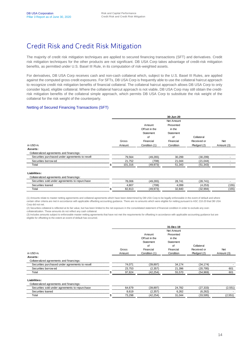# Credit Risk and Credit Risk Mitigation

The majority of credit risk mitigation techniques are applied to secured financing transactions (SFT) and derivatives. Credit risk mitigation techniques for the other products are not significant. DB USA Corp takes advantage of credit-risk mitigation benefits, as permitted under U.S. Basel III Rule, in its computation of risk-weighted assets.

For derivatives, DB USA Corp receives cash and non-cash collateral which, subject to the U.S. Basel III Rules, are applied against the computed gross credit exposures. For SFTs, DB USA Corp is frequently able to use the collateral haircut approach to recognize credit risk mitigation benefits of financial collateral. The collateral haircut approach allows DB USA Corp to only consider liquid, eligible collateral. Where the collateral haircut approach is not viable, DB USA Corp may still obtain the creditrisk mitigation benefits of the collateral simple approach, which permits DB USA Corp to substitute the risk weight of the collateral for the risk weight of the counterparty.

### Netting of Secured Financing Transactions (SFT)

|                                                 |         |               | 30-Jun-20  |             |            |
|-------------------------------------------------|---------|---------------|------------|-------------|------------|
|                                                 |         |               | Net Amount |             |            |
|                                                 |         | Amount        | Presented  |             |            |
|                                                 |         | Offset in the | in the     |             |            |
|                                                 |         | Statement     | Statement  |             |            |
|                                                 |         | 0f            | 0f         | Collateral  |            |
|                                                 | Gross   | Financial     | Financial  | Received or | Net        |
| in USD <sub>m</sub> .                           | Amount  | Condition (1) | Condition  | Pledged (2) | Amount (3) |
| Assets:                                         |         |               |            |             |            |
| Collateralized agreements and financings:       |         |               |            |             |            |
| Securities purchased under agreements to resell | 79.564  | (49.265)      | 30.299     | (30, 299)   |            |
| Securities borrow ed                            | 21,752  | (708)         | 21,044     | (21, 044)   |            |
| Total                                           | 101.316 | (49.973)      | 51,343     | (51, 343)   |            |

**Liabilities:**

| financings<br>ac<br>nents                                                          |                           |        |      |            |                      |
|------------------------------------------------------------------------------------|---------------------------|--------|------|------------|----------------------|
| und<br>chase<br>$\sim$<br>$I$ riti $\triangle C$<br>ີ⊂∩l<br>epurr<br>ы<br>$\cdots$ | nnr                       | 49.265 | $-$  | .41<br>20. |                      |
| <b>STATISTICS</b>                                                                  | 1.80<br><b>FEW FRIDAY</b> | 708    | .099 | 1.∠J\      | 155<br><b>UU</b><br> |
| Tota.                                                                              |                           | $\sim$ | .84C | $\sim$     | 155<br>טטו           |

(1) Amounts relate to master netting agreements and collateral agreements which have been determined by DB USA Corp to be legally enforceable in the event of default and where certain other criteria are met in accordance with applicable offsetting accounting guidance. There are no amounts which were eligible for netting pursuant to ASC 210-20 that DB USA Corp did not net.

(2) Securities collateral is reflected at its fair value, but has been limited to the net exposure in the consolidated statement of financial condition in order to exclude any overcollateralization. These amounts do not reflect any cash collateral.

(3) Includes amounts subject to enforceable master netting agreements that have not met the requirements for offsetting in accordance with applicable accounting guidance but are eligible for offsetting to the extent an event of default has occurred.

|                                                 |        |               | 31-Dec-19  |             |            |
|-------------------------------------------------|--------|---------------|------------|-------------|------------|
|                                                 |        |               | Net Amount |             |            |
|                                                 |        | Amount        | Presented  |             |            |
|                                                 |        | Offset in the | in the     |             |            |
|                                                 |        | Statement     | Statement  |             |            |
|                                                 |        | οf            | of         | Collateral  |            |
|                                                 | Gross  | Financial     | Financial  | Received or | Net        |
| in USD <sub>m</sub> .                           | Amount | Condition (1) | Condition  | Pledged (2) | Amount (3) |
| Assets:                                         |        |               |            |             |            |
| Collateralized agreements and financings:       |        |               |            |             |            |
| Securities purchased under agreements to resell | 74.071 | (39, 897)     | 34.174     | (34, 174)   |            |
| Securities borrow ed                            | 23,753 | (2,357)       | 21.396     | (20, 795)   | 601        |
| Total                                           | 97,824 | (42, 254)     | 55,570     | (54,969)    | 601        |
|                                                 |        |               |            |             |            |
| Liabilities:                                    |        |               |            |             |            |
| Collatoralized agreements and financings:       |        |               |            |             |            |

| icinas<br><b>TAXABLE</b>                                                           | <b>STATISTICS</b>                    |       |                                      |                                                                                            |                                     |
|------------------------------------------------------------------------------------|--------------------------------------|-------|--------------------------------------|--------------------------------------------------------------------------------------------|-------------------------------------|
| , under<br>ecurities<br>sold<br>agreements<br>tc<br>лазе<br>,,,,,,,,,,,,,,,,,,,,,, | 670<br><b>SOUTHWAIT COMPANY</b>      | . റെ− | 70 <sub>1</sub><br>י כ<br>24.<br>104 | $\sim$<br>. JJJ<br><b><i><u>PERSONAL PROPERTY AND STATES OF THE REAL PROPERTY.</u></i></b> | ں ت<br><b>WASHINGTON CONTINUES.</b> |
| securities loaned<br><b>TERRITORY</b>                                              | 9.61<br>0.U<br><b>FEW FRIDAY</b><br> | 2.35. | $\sim$<br>0.∠0∠                      | 6.262<br>                                                                                  |                                     |
| Tota.                                                                              | 73.298<br>-^                         | 74.LV |                                      | 505<br>JUU                                                                                 | ו ש                                 |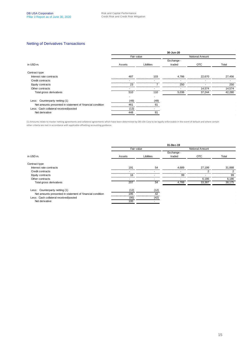### Netting of Derivatives Transactions

|                                                           |                      |      | 30-Jun-20       |            |        |  |  |
|-----------------------------------------------------------|----------------------|------|-----------------|------------|--------|--|--|
|                                                           | Fair value           |      | Notional Amount |            |        |  |  |
|                                                           |                      |      | Exchange -      |            |        |  |  |
| in USD <sub>m.</sub>                                      | Libilities<br>Assets |      | traded          | <b>OTC</b> | Total  |  |  |
| Contract type                                             |                      |      |                 |            |        |  |  |
| Interest rate contracts                                   | 487                  | 103  | 4.786           | 22.670     | 27,456 |  |  |
| Credit contracts                                          |                      |      |                 |            |        |  |  |
| Equity contracts                                          | 23                   |      | 250             |            | 250    |  |  |
| Other contracts                                           | ۰                    |      |                 | 14,574     | 14,574 |  |  |
| Total gross derivatives                                   | 510                  | 110  | 5,036           | 37,244     | 42,280 |  |  |
|                                                           | ۰                    |      |                 |            |        |  |  |
| Less: Counterparty netting (1)                            | (49)                 | (49) |                 |            |        |  |  |
| Net amounts presented in statement of financial condition | 461                  | 61   |                 |            |        |  |  |
| Less: Cash collateral received/posted                     | (13)                 |      |                 |            |        |  |  |
| Net derivative                                            | 448                  | 61   |                 |            |        |  |  |

(1) Amounts relate to master netting agreements and collateral agreements which have been determined by DB USA Corp to be legally enforceable in the event of default and where certain other criteria are met in accordance with applicable offsetting accounting guidance.

|                                                           |            |            | 31-Dec-19  |                 |        |
|-----------------------------------------------------------|------------|------------|------------|-----------------|--------|
|                                                           | Fair value |            |            | Notional Amount |        |
|                                                           |            |            | Exchange - |                 |        |
| in USD <sub>m.</sub>                                      | Assets     | Libilities | traded     | <b>OTC</b>      | Total  |
| Contract type                                             |            |            |            |                 |        |
| Interest rate contracts                                   | 191        | 54         | 4,689      | 27,199          | 31,888 |
| Credit contracts                                          |            |            |            | ◠               |        |
| Equity contracts                                          | 16         |            | 99         |                 | 99     |
| Other contracts                                           |            |            |            | 6,186           | 6,186  |
| Total gross derivatives                                   | 207        | 54         | 4,788      | 33,387          | 38,175 |
| Less: Counterparty netting (1)                            | (12)       | (12)       |            |                 |        |
| Net amounts presented in statement of financial condition | 195        | 42         |            |                 |        |
| Less: Cash collateral received/posted                     | (95)       | (42)       |            |                 |        |
| Net derivative                                            | 100        |            |            |                 |        |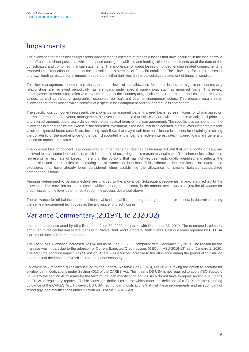### Impairments

The allowance for credit losses represents management's estimate of probable losses that have occurred in the loan portfolio and off balance sheet positions, which comprise contingent liabilities and lending related commitments as of the date of the consolidated and combined financial statements. The allowance for credit losses of funded lending related commitments is reported as a reduction of loans on the consolidated statement of financial condition. The allowance for credit losses of undrawn lending related commitments is reported in other liabilities on the consolidated statement of financial condition.

To allow management to determine the appropriate level of the allowance for credit losses, all significant counterparty relationships are reviewed periodically, as are loans under special supervision, such as impaired loans. This review encompasses current information and events related to the counterparty, such as past due status and collateral recovery values, as well as industry, geographic, economic, political, and other environmental factors. This process results in an allowance for credit losses which consists of a specific loss component and an inherent loss component.

The specific loss component represents the allowance for impaired loans. Impaired loans represent loans for which, based on current information and events, management believes it is probable that DB USA Corp will not be able to collect all principal and interest amounts due in accordance with the contractual terms of the loan agreement. The specific loss component of the allowance is measured by the excess of the recorded investment in the loan, including accrued interest, over either the present value of expected future cash flows, including cash flows that may result from foreclosure less costs for obtaining or selling the collateral, or the market price of the loan, discounted at the loan's effective interest rate. Impaired loans are generally placed on nonaccrual status.

The inherent loss component is principally for all other loans not deemed to be impaired, but that, on a portfolio basis, are believed to have some inherent loss, which is probable of occurring and is reasonably estimable. The inherent loss allowance represents an estimate of losses inherent in the portfolio that has not yet been individually identified and reflects the imprecision and uncertainties in estimating the allowance for loan loss. This estimate of inherent losses excludes those exposures that have already been considered when establishing the allowance for smaller balance standardized homogeneous loans.

Amounts determined to be uncollectible are charged to the allowance. Subsequent recoveries, if any, are credited to the allowance. The provision for credit losses, which is charged to income, is the amount necessary to adjust the allowance for credit losses to the level determined through the process described above.

The allowance for off balance sheet positions, which is established through charges to other expenses, is determined using the same measurement techniques as the allowance for credit losses.

# Variance Commentary (2019YE to 2020Q2)

Impaired loans decreased by \$5 million as of June 30, 2020 compared with December 31, 2019. The decrease is primarily attributed to residential real estate loans with Private Bank and Corporate Bank clients. Past due loans reported by DB USA Corp as of June 2020 are immaterial.

The Loan Loss Allowance increased \$23 million as of June 30, 2020 compared with December 31, 2019. The reason for the increase was in part due to the adoption of Current Expected Credit Losses (CECL – ASU 2016-13) as of January 1, 2020. The first time adoption impact was \$6 million. There was a further increase to the allowance during the period of \$17 million as a result of the impact of COVID-19 on the global economy.

Following new reporting guidelines issued by the Federal Reserve Bank (FRB), DB USA is taking the option to account for eligible loan modifications under Section 4013 of the CARES Act. This means DB USA is not required to apply ASC Subtopic 310-40 to the section 4013 loans for the term of the loan modification and as such do not have to report section 4013 loans as TDRs in regulatory reports. Eligible loans are defined as those which meet the definition of a TDR and the reporting guidance of the CARES Act. However, DB USA had no loan modifications that met these requirements and as such did not report any loan modifications under Section 4013 of the CARES Act.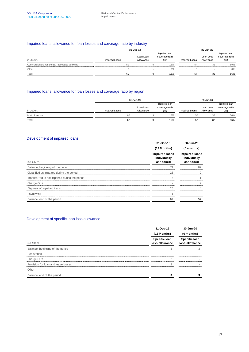### Impaired loans, allowance for loan losses and coverage ratio by industry

|                                                   | 31-Dec-19      |                         |  |                                        | 30-Jun-20      |                         |                                         |  |
|---------------------------------------------------|----------------|-------------------------|--|----------------------------------------|----------------|-------------------------|-----------------------------------------|--|
| in USD m.                                         | Impaired Loans | Loan Loss<br>Allow ance |  | Impaired loan<br>coverage ratio<br>(%) | Impaired Loans | Loan Loss<br>Allow ance | Impaired loan<br>coverage ratio<br>(% ) |  |
| Commercial and residential real estate activities | 59             |                         |  | 15%                                    | 54             | 32                      | 59%                                     |  |
| Other                                             |                |                         |  | $0\%$                                  |                |                         | 0%                                      |  |
| Total                                             | 62             |                         |  | 15%                                    | 57             | 32                      | 56%                                     |  |

### Impaired loans, allowance for loan losses and coverage ratio by region

|               | 31-Dec-19      |                         |  |                                        |                | 30-Jun-20               |                                         |
|---------------|----------------|-------------------------|--|----------------------------------------|----------------|-------------------------|-----------------------------------------|
| in USD m.     | Impaired Loans | Loan Loss<br>Allow ance |  | Impaired loan<br>coverage ratio<br>(%) | Impaired Loans | Loan Loss<br>Allow ance | Impaired loan<br>coverage ratio<br>(% ) |
| North America | 62             |                         |  | 15%                                    | 57             | 32                      | 56%                                     |
| Total         | 62             |                         |  | 15%                                    | 57             | 32                      | 56%                                     |

### Development of impaired loans

|                                               | 31-Dec-19<br>(12 Months)                   | 30-Jun-20<br>(6 months)                    |
|-----------------------------------------------|--------------------------------------------|--------------------------------------------|
| in USD m.                                     | Impaired loans<br>Individually<br>assessed | Impaired loans<br>Individually<br>assessed |
| Balance, beginning of the period              |                                            | 62                                         |
| Classified as impaired during the period      | 23                                         |                                            |
| Transferred to not impaired during the period |                                            | ,,,,,,,,,,,,,,,,,,,,,,,,,,,,,,,,,,,,       |
| Charge Offs                                   |                                            |                                            |
| Disposal of impaired loans                    | 26                                         |                                            |
| Paydow ns                                     |                                            |                                            |
| Balance, end of the period                    | 62                                         |                                            |

### Development of specific loan loss allowance

|                                              | 31-Dec-19                              | 30-Jun-20                        |
|----------------------------------------------|----------------------------------------|----------------------------------|
|                                              | (12 Months)                            | (6 months)                       |
| in USD m.                                    | <b>Specific loan</b><br>loss allowance | Specific Ioan<br>loss allowance  |
| Balance, beginning of the period             |                                        |                                  |
| Recoveries                                   |                                        |                                  |
| Charge Offs                                  |                                        |                                  |
| Provision for loan and lease losses<br>Other |                                        | ,,,,,,,,,,,,,,,,,,,,,,,,,,,,,,,, |
| Balance, end of the period                   |                                        |                                  |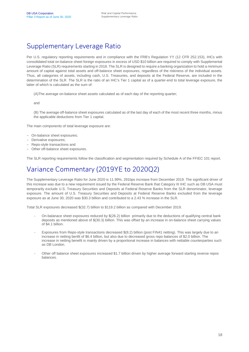# Supplementary Leverage Ratio

Per U.S. regulatory reporting requirements and in compliance with the FRB's Regulation YY (12 CFR 252.153), IHCs with consolidated total on-balance sheet foreign exposures in excess of USD \$10 billion are required to comply with Supplemental Leverage Ratio (SLR) requirements starting in 2018. The SLR is designed to require a banking organization to hold a minimum amount of capital against total assets and off-balance sheet exposures, regardless of the riskiness of the individual assets. Thus, all categories of assets, including cash, U.S. Treasuries, and deposits at the Federal Reserve, are included in the determination of the SLR. The SLR is the ratio of an IHC's Tier 1 capital as of a quarter-end to total leverage exposure, the latter of which is calculated as the sum of:

(A)The average on-balance sheet assets calculated as of each day of the reporting quarter;

and

(B) The average off-balance sheet exposures calculated as of the last day of each of the most recent three months, minus the applicable deductions from Tier 1 capital.

The main components of total leverage exposure are:

- On-balance sheet exposures;
- Derivative exposures;
- Repo-style transactions and
- Other off-balance sheet exposures.

The SLR reporting requirements follow the classification and segmentation required by Schedule A of the FFIEC 101 report.

# Variance Commentary (2019YE to 2020Q2)

The Supplementary Leverage Ratio for June 2020 is 11.99%, 291bps increase from December 2019. The significant driver of this increase was due to a new requirement issued by the Federal Reserve Bank that Category III IHC such as DB USA must temporarily exclude U.S. Treasury Securities and Deposits at Federal Reserve Banks from the SLR denominator, leverage exposure. The amount of U.S. Treasury Securities and Deposits at Federal Reserve Banks excluded from the leverage exposure as at June 30, 2020 was \$30.3 billion and contributed to a 2.43 % increase in the SLR.

Total SLR exposures decreased \$(32.7) billion to \$119.2 billion as compared with December 2019.

- On-balanace sheet exposures reduced by \$(26.2) billion primarily due to the deductions of qualifying central bank deposits as mentioned above of \$(30.3) billion. This was offset by an increase in on-balance sheet carrying values of \$4.1 billion.
- Exposures from Repo-style transactions decreased \$(8.2) billion (post FIN41 netting). This was largely due to an increase in netting benfit of \$6.4 billion, but also due to decreased gross repo balances of \$2.0 billion. The increase in netting benefit is mainly driven by a proportional increase in balances with nettable counterparties such as DB London.
- Other off balance sheet exposures increased \$1.7 billion driven by higher average forward starting reverse repos balances.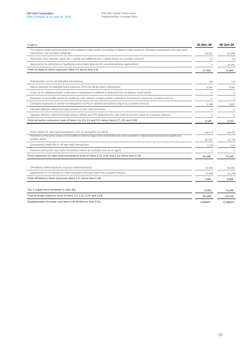| in USD m.                                                                                                                                                                                                                              | 31-Dec-19         | 30-Jun-20         |
|----------------------------------------------------------------------------------------------------------------------------------------------------------------------------------------------------------------------------------------|-------------------|-------------------|
| The balance sheet carrying value of all on-balance sheet assets (excluding on-balance sheet assets for derivative transactions and repo-style<br>transactions, but including collateral)                                               | 58,046            | 62.099            |
| Deductions from common equity tier 1 capital and additional tier 1 capital (report as a positive amount)                                                                                                                               | 117               | 113               |
| Adjustments for deductions of qualifying central bank deposits for custodial banking organisations                                                                                                                                     | $\Omega$          | 30,292            |
| Total on-balance sheet exposures (item 2.1 minus item 2.2)                                                                                                                                                                             | 57,929            | 31,694            |
| Replacement cost for all derivative transactions                                                                                                                                                                                       | 90                | 143               |
| Add-on amounts for potential future exposure (PFE) for all derivative transactions                                                                                                                                                     | 3,594             | 4.095             |
| Gross-up for collateral posted in derivative transactions if collateral is deducted from on-balance sheet assets                                                                                                                       | 0                 | $\Omega$          |
| Deduction of receivable assets for qualifying cash variation margin posted in derivative transactions (report as a positive amount)                                                                                                    | $\Omega$          | $\Omega$          |
| Exempted exposures to central counterparties (CCPs) in cleared transactions (report as a positive amount)                                                                                                                              | 1,486             | 2,007             |
| Adjusted effective notional principal amount of sold credit protection                                                                                                                                                                 | 0                 | 0                 |
| Adjusted effective notional principal amount offsets and PFE deductions for sold credit protection (report as a positive amount)                                                                                                       | $\Omega$          | $\Omega$          |
| Total derivative exposures (sum of items 2.4, 2.5, 2.6 and 2.9, minus items 2.7, 2.8, and 2.10)                                                                                                                                        | 2,198             | 2,231             |
| Gross assets for repo-style transactions, with no recognition of netting<br>Reduction of the gross value of receivables in reverse repurchase transactions by cash payables in repurchase transactions (report as a<br>positive value) | 138,473<br>55,372 | 136.432<br>61,734 |
| Counterparty credit risk for all repo-style transactions                                                                                                                                                                               | 1,179             | 1,41              |
| Exposure amount for repo-style transactions where an institution acts as an agent                                                                                                                                                      | $\Omega$          | $\Omega$          |
| Total exposures for repo-style transactions (sum of items 2.12, 2.14, and 2.15, minus item 2.13)                                                                                                                                       | 84,280            | 76,109            |
| Off-balance sheet exposures at gross notional amounts                                                                                                                                                                                  | 23,001            | 30,436            |
| Adjustments for conversion to credit equivalent amounts (report as a positive amount)                                                                                                                                                  | 15,509            | 21,228            |
| Total off-balance sheet exposures (item 2.17 minus item 2.18)                                                                                                                                                                          | 7,492             | 9,208             |
| Tier 1 capital (from Schedule A, item 45)                                                                                                                                                                                              | 13,801            | 14,296            |
| Total leverage exposure (sum of items 2.3, 2.11, 2.16, and 2.19)                                                                                                                                                                       | 151.899           | 119,242           |
| Supplementary leverage ratio (item 2.20 divided by item 2.21)                                                                                                                                                                          | 9.0856%           | 11.9891%          |